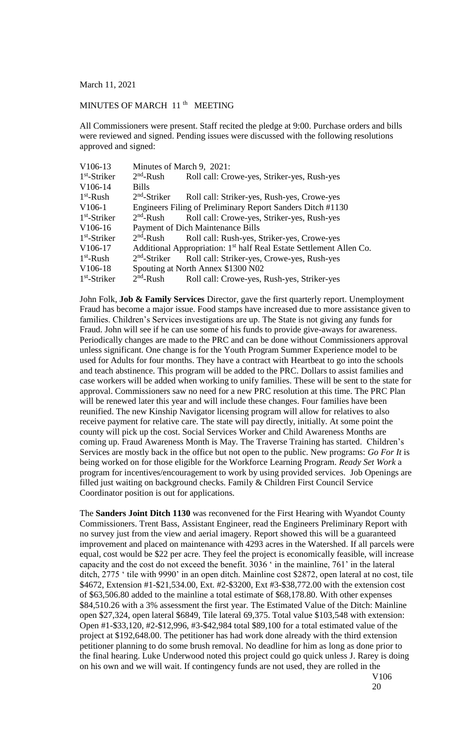March 11, 2021

## MINUTES OF MARCH 11<sup>th</sup> MEETING

All Commissioners were present. Staff recited the pledge at 9:00. Purchase orders and bills were reviewed and signed. Pending issues were discussed with the following resolutions approved and signed:

| $V106-13$      | Minutes of March 9, 2021:                                                       |                                             |  |
|----------------|---------------------------------------------------------------------------------|---------------------------------------------|--|
| $1st$ -Striker | $2nd$ -Rush                                                                     | Roll call: Crowe-yes, Striker-yes, Rush-yes |  |
| V106-14        | <b>Bills</b>                                                                    |                                             |  |
| $1st$ -Rush    | $2nd$ -Striker                                                                  | Roll call: Striker-yes, Rush-yes, Crowe-yes |  |
| $V106-1$       | Engineers Filing of Preliminary Report Sanders Ditch #1130                      |                                             |  |
| $1st$ -Striker | $2nd$ -Rush                                                                     | Roll call: Crowe-yes, Striker-yes, Rush-yes |  |
| $V106-16$      | Payment of Dich Maintenance Bills                                               |                                             |  |
| $1st$ -Striker | $2nd$ -Rush                                                                     | Roll call: Rush-yes, Striker-yes, Crowe-yes |  |
| V106-17        | Additional Appropriation: 1 <sup>st</sup> half Real Estate Settlement Allen Co. |                                             |  |
| $1st$ -Rush    | $2nd$ -Striker                                                                  | Roll call: Striker-yes, Crowe-yes, Rush-yes |  |
| V106-18        | Spouting at North Annex \$1300 N02                                              |                                             |  |
| $1st$ -Striker | $2nd$ -Rush                                                                     | Roll call: Crowe-yes, Rush-yes, Striker-yes |  |

John Folk, **Job & Family Services** Director, gave the first quarterly report. Unemployment Fraud has become a major issue. Food stamps have increased due to more assistance given to families. Children's Services investigations are up. The State is not giving any funds for Fraud. John will see if he can use some of his funds to provide give-aways for awareness. Periodically changes are made to the PRC and can be done without Commissioners approval unless significant. One change is for the Youth Program Summer Experience model to be used for Adults for four months. They have a contract with Heartbeat to go into the schools and teach abstinence. This program will be added to the PRC. Dollars to assist families and case workers will be added when working to unify families. These will be sent to the state for approval. Commissioners saw no need for a new PRC resolution at this time. The PRC Plan will be renewed later this year and will include these changes. Four families have been reunified. The new Kinship Navigator licensing program will allow for relatives to also receive payment for relative care. The state will pay directly, initially. At some point the county will pick up the cost. Social Services Worker and Child Awareness Months are coming up. Fraud Awareness Month is May. The Traverse Training has started. Children's Services are mostly back in the office but not open to the public. New programs: *Go For It* is being worked on for those eligible for the Workforce Learning Program. *Ready Set Work* a program for incentives/encouragement to work by using provided services. Job Openings are filled just waiting on background checks. Family & Children First Council Service Coordinator position is out for applications.

The **Sanders Joint Ditch 1130** was reconvened for the First Hearing with Wyandot County Commissioners. Trent Bass, Assistant Engineer, read the Engineers Preliminary Report with no survey just from the view and aerial imagery. Report showed this will be a guaranteed improvement and placed on maintenance with 4293 acres in the Watershed. If all parcels were equal, cost would be \$22 per acre. They feel the project is economically feasible, will increase capacity and the cost do not exceed the benefit. 3036 ' in the mainline, 761' in the lateral ditch, 2775 ' tile with 9990' in an open ditch. Mainline cost \$2872, open lateral at no cost, tile \$4672, Extension #1-\$21,534.00, Ext. #2-\$3200, Ext #3-\$38,772.00 with the extension cost of \$63,506.80 added to the mainline a total estimate of \$68,178.80. With other expenses \$84,510.26 with a 3% assessment the first year. The Estimated Value of the Ditch: Mainline open \$27,324, open lateral \$6849, Tile lateral 69,375. Total value \$103,548 with extension: Open #1-\$33,120, #2-\$12,996, #3-\$42,984 total \$89,100 for a total estimated value of the project at \$192,648.00. The petitioner has had work done already with the third extension petitioner planning to do some brush removal. No deadline for him as long as done prior to the final hearing. Luke Underwood noted this project could go quick unless J. Rarey is doing on his own and we will wait. If contingency funds are not used, they are rolled in the

V106